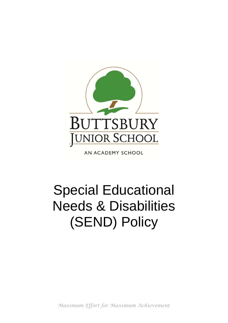

AN ACADEMY SCHOOL

# Special Educational Needs & Disabilities (SEND) Policy

*Maximum Effort for Maximum Achievement*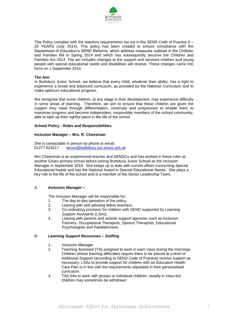

This Policy complies with the statutory requirements set out in the SEND Code of Practice 0 – 25 YEARS (July 2014). This policy has been created to ensure compliance with the Department of Education's SEND Reforms, which address measures outlined in the Children and Families Bill in Spring 2014 and which has subsequently become the Children and Families Act 2014. The act includes changes to the support and services children and young people with special educational needs and disabilities will receive. These changes came into force on 1 September 2014.

## **The Aim**

In Buttsbury Junior School, we believe that every child, whatever their ability, has a right to experience a broad and balanced curriculum, as provided by the National Curriculum and to make optimum educational progress.

We recognise that some children, at any stage in their development, may experience difficulty in some areas of learning. Therefore, we aim to ensure that these children are given the support they need through differentiation, continuity and progression to enable them to maximise progress and become independent, responsible members of the school community, able to take up their rightful place in the life of the school.

## **School Policy - Roles and Responsibilities**

## **Inclusion Manager – Mrs. R. Cheesman**

She is contactable in person by phone or email: 01277 623217 [senco@buttsbury-jun.essex.sch.uk](mailto:senco@buttsbury-jun.essex.sch.uk)

Mrs Cheesman is an experienced teacher and SENDCo and has worked in these roles at another Essex primary school before joining Buttsbury Junior School as the Inclusion Manager in September 2018. She keeps up to date with current affairs concerning Special Educational Needs and has the National Award in Special Educational Needs. She plays a key role in the life of the school and is a member of the Senior Leadership Team.

# A. *Inclusion Manager –*

The Inclusion Manager will be responsible for:

- 1. The day-to-day operation of the policy.
- 2. Liaising with and advising fellow teachers.
- 3. Co-ordinating provision for children with SEND supported by Learning Support Assistants (LSAs).
- 4. Liaising with parents and outside support agencies such as Inclusion Partners, Occupational Therapists, Speech Therapists, Educational Psychologists and Paediatricians.

# B. *Learning Support Resources – Staffing*

- . 1. Inclusion Manager<br>2. Teaching Assistant
- Teaching Assistant (TA) assigned to work in each class during the mornings. Children whose learning difficulties require them to be placed at a level of Additional Support (according to SEND Code of Practice) receive support as necessary. LSAs to provide support for children with an Education Health Care Plan is in line with the requirements stipulated in their personalised curriculum.
- 3. TA/LSAs to work with groups or individual children, usually in class but children may sometimes be withdrawn.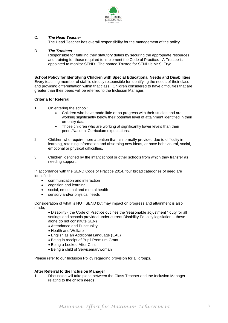

# C. *The Head Teacher*

The Head Teacher has overall responsibility for the management of the policy.

# D. *The Trustees*

Responsible for fulfilling their statutory duties by securing the appropriate resources and training for those required to implement the Code of Practice. A Trustee is appointed to monitor SEND. The named Trustee for SEND is Mr S. Fryd.

# **School Policy for Identifying Children with Special Educational Needs and Disabilities**

Every teaching member of staff is directly responsible for identifying the needs of their class and providing differentiation within that class. Children considered to have difficulties that are greater than their peers will be referred to the Inclusion Manager.

# **Criteria for Referral**

- 1. On entering the school:
	- Children who have made little or no progress with their studies and are working significantly below their potential level of attainment identified in their on-entry data
	- Those children who are working at significantly lower levels than their peers/National Curriculum expectations.
- 2. Children who require more attention than is normally provided due to difficulty in learning, retaining information and absorbing new ideas, or have behavioural, social, emotional or physical difficulties.
- 3. Children identified by the infant school or other schools from which they transfer as needing support.

In accordance with the SEND Code of Practice 2014, four broad categories of need are identified:

- communication and interaction
- cognition and learning
- social, emotional and mental health
- sensory and/or physical needs

Consideration of what is NOT SEND but may impact on progress and attainment is also made;

• Disability ( the Code of Practice outlines the "reasonable adjustment " duty for all settings and schools provided under current Disability Equality legislation – these alone do not constitute SEN)

- Attendance and Punctuality
- Health and Welfare
- English as an Additional Language (EAL)
- Being in receipt of Pupil Premium Grant
- Being a Looked After Child
- Being a child of Serviceman/woman

Please refer to our Inclusion Policy regarding provision for all groups.

# **After Referral to the Inclusion Manager**

1. Discussion will take place between the Class Teacher and the Inclusion Manager relating to the child's needs.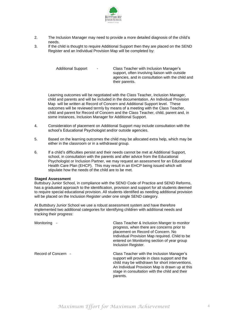

- 2. The Inclusion Manager may need to provide a more detailed diagnosis of the child's needs.
- 3. If the child is thought to require Additional Support then they are placed on the SEND Register and an Individual Provision Map will be completed by:

Additional Support - Class Teacher with Inclusion Manager's support, often involving liaison with outside agencies, and in consultation with the child and their parents.

Learning outcomes will be negotiated with the Class Teacher, Inclusion Manager, child and parents and will be included in the documentation. An Individual Provision Map will be written at Record of Concern and Additional Support level. These outcomes will be reviewed termly by means of a meeting with the Class Teacher, child and parent for Record of Concern and the Class Teacher, child, parent and, in some instances, Inclusion Manager for Additional Support.

- 4. Consideration of placement on Additional Support may include consultation with the school's Educational Psychologist and/or outside agencies.
- 5. Based on the learning outcomes the child may be allocated extra help, which may be either in the classroom or in a withdrawal group.
- 6. If a child's difficulties persist and their needs cannot be met at Additional Support, school, in consultation with the parents and after advice from the Educational Psychologist or Inclusion Partner, we may request an assessment for an Educational Health Care Plan (EHCP). This may result in an EHCP being issued which will stipulate how the needs of the child are to be met.

## **Staged Assessment**

Buttsbury Junior School, in compliance with the SEND Code of Practice and SEND Reforms, has a graduated approach to the identification, provision and support for all students deemed to require special educational provision. All students identified as needing additional provision will be placed on the Inclusion Register under one single SEND category.

At Buttsbury Junior School we use a robust assessment system and have therefore implemented two additional categories for identifying children with additional needs and tracking their progress:

| Monitoring          | Class Teacher & Inclusion Manger to monitor<br>progress, when there are concerns prior to<br>placement on Record of Concern. No<br>Individual Provision Map required. Child to be<br>entered on Monitoring section of year group<br>Inclusion Register.         |
|---------------------|-----------------------------------------------------------------------------------------------------------------------------------------------------------------------------------------------------------------------------------------------------------------|
| Record of Concern - | Class Teacher with the Inclusion Manager's<br>support will provide in class support and the<br>child may be withdrawn for short interventions.<br>An Individual Provision Map is drawn up at this<br>stage in consultation with the child and their<br>parents. |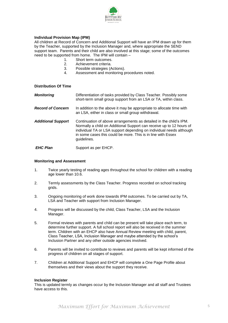

# **Individual Provision Map (IPM)**

All children at Record of Concern and Additional Support will have an IPM drawn up for them by the Teacher, supported by the Inclusion Manager and, where appropriate the SEND support team. Parents and their child are also involved at this stage; some of the outcomes need to be supported from home. The IPM will contain –<br>1. Short term outcomes.

- 1. Short term outcomes.<br>2. Achievement criteria.
- Achievement criteria.
- 3. Possible strategies (Actions).<br>4. Assessment and monitoring p
- Assessment and monitoring procedures noted.

**Distribution Of Time**

| <b>Monitoring</b>         | Differentiation of tasks provided by Class Teacher. Possibly some<br>short-term small group support from an LSA or TA, within class.                                                                                                                                                             |
|---------------------------|--------------------------------------------------------------------------------------------------------------------------------------------------------------------------------------------------------------------------------------------------------------------------------------------------|
| <b>Record of Concern</b>  | In addition to the above it may be appropriate to allocate time with<br>an LSA, either in class or small group withdrawal.                                                                                                                                                                       |
| <b>Additional Support</b> | Continuation of above arrangements as detailed in the child's IPM.<br>Normally a child on Additional Support can receive up to 12 hours of<br>individual TA or LSA support depending on individual needs although<br>in some cases this could be more. This is in line with Essex<br>guidelines. |
| <b>EHC Plan</b>           | Support as per EHCP.                                                                                                                                                                                                                                                                             |

### **Monitoring and Assessment**

- 1. Twice yearly testing of reading ages throughout the school for children with a reading age lower than 10.6.
- 2. Termly assessments by the Class Teacher. Progress recorded on school tracking grids.
- 3. Ongoing monitoring of work done towards IPM outcomes. To be carried out by TA, LSA and Teacher with support from Inclusion Manager.
- 4. Progress will be discussed by the child, Class Teacher, LSA and the Inclusion Manager.
- 5. Formal reviews with parents and child can be present will take place each term, to determine further support. A full school report will also be received in the summer term. Children with an EHCP also have Annual Review meeting with child, parent, Class Teacher, LSA, Inclusion Manager and maybe attended by the school's Inclusion Partner and any other outside agencies involved.
- 6. Parents will be invited to contribute to reviews and parents will be kept informed of the progress of children on all stages of support.
- 7. Children at Additional Support and EHCP will complete a One Page Profile about themselves and their views about the support they receive.

#### **Inclusion Register**

This is updated termly as changes occur by the Inclusion Manager and all staff and Trustees have access to this.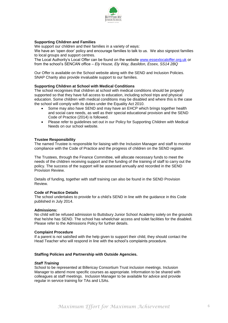

# **Supporting Children and Families**

We support our children and their families in a variety of ways:

We have an 'open door' policy and encourage families to talk to us. We also signpost families to local groups and support centres.

The Local Authority's Local Offer can be found on the website [www.essexlocaloffer.org.uk](http://www.essexlocaloffer.org.uk/) or from the school's SENCAN office *– Ely House, Ely Way, Basildon, Essex, SS14 2BQ*

Our Offer is available on the School website along with the SEND and Inclusion Policies. SNAP Charity also provide invaluable support to our families.

## **Supporting Children at School with Medical Conditions**

The school recognises that children at school with medical conditions should be properly supported so that they have full access to education, including school trips and physical education. Some children with medical conditions may be disabled and where this is the case the school will comply with its duties under the Equality Act 2010.

- Some may also have SEND and may have an EHCP which brings together health and social care needs, as well as their special educational provision and the SEND Code of Practice (2014) is followed.
- Please refer to guidelines set out in our Policy for Supporting Children with Medical Needs on our school website.

## **Trustee Responsibility**

The named Trustee is responsible for liaising with the Inclusion Manager and staff to monitor compliance with the Code of Practice and the progress of children on the SEND register.

The Trustees, through the Finance Committee, will allocate necessary funds to meet the needs of the children receiving support and the funding of the training of staff to carry out the policy. The success of the support will be assessed annually and recorded in the SEND Provision Review.

Details of funding, together with staff training can also be found in the SEND Provision Review.

## **Code of Practice Details**

The school undertakes to provide for a child's SEND in line with the guidance in this Code published in July 2014.

#### **Admissions:**

No child will be refused admission to Buttsbury Junior School Academy solely on the grounds that he/she has SEND. The school has wheelchair access and toilet facilities for the disabled. Please refer to the Admissions Policy for further details.

#### **Complaint Procedure**

If a parent is not satisfied with the help given to support their child, they should contact the Head Teacher who will respond in line with the school's complaints procedure.

# **Staffing Policies and Partnership with Outside Agencies.**

## *Staff Training*

School to be represented at Billericay Consortium Trust inclusion meetings. Inclusion Manager to attend more specific courses as appropriate. Information to be shared with colleagues at staff meetings. Inclusion Manager to be available for advice and provide regular in service training for TAs and LSAs.